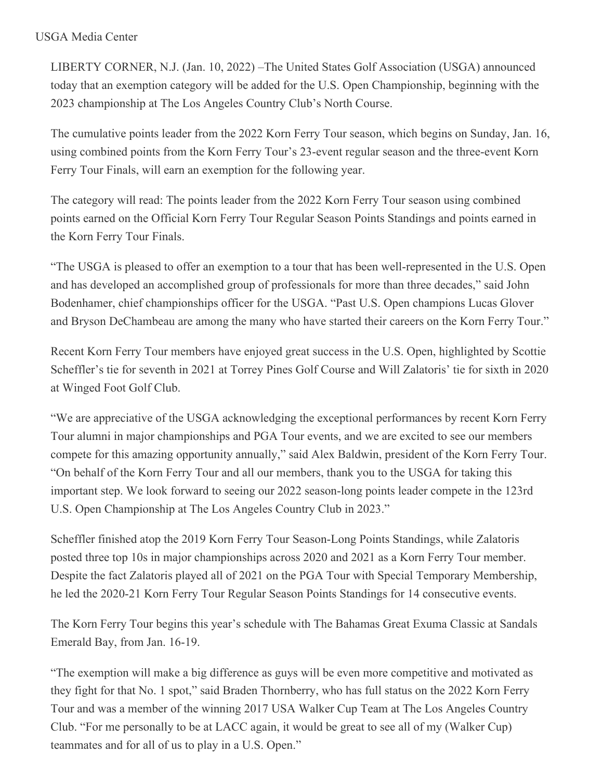## USGA Media Center

LIBERTY CORNER, N.J. (Jan. 10, 2022) –The United States Golf Association (USGA) announced today that an exemption category will be added for the U.S. Open Championship, beginning with the 2023 championship at The Los Angeles Country Club's North Course.

The cumulative points leader from the 2022 Korn Ferry Tour season, which begins on Sunday, Jan. 16, using combined points from the Korn Ferry Tour's 23-event regular season and the three-event Korn Ferry Tour Finals, will earn an exemption for the following year.

The category will read: The points leader from the 2022 Korn Ferry Tour season using combined points earned on the Official Korn Ferry Tour Regular Season Points Standings and points earned in the Korn Ferry Tour Finals.

"The USGA is pleased to offer an exemption to a tour that has been well-represented in the U.S. Open and has developed an accomplished group of professionals for more than three decades," said John Bodenhamer, chief championships officer for the USGA. "Past U.S. Open champions Lucas Glover and Bryson DeChambeau are among the many who have started their careers on the Korn Ferry Tour."

Recent Korn Ferry Tour members have enjoyed great success in the U.S. Open, highlighted by Scottie Scheffler's tie for seventh in 2021 at Torrey Pines Golf Course and Will Zalatoris' tie for sixth in 2020 at Winged Foot Golf Club.

"We are appreciative of the USGA acknowledging the exceptional performances by recent Korn Ferry Tour alumni in major championships and PGA Tour events, and we are excited to see our members compete for this amazing opportunity annually," said Alex Baldwin, president of the Korn Ferry Tour. "On behalf of the Korn Ferry Tour and all our members, thank you to the USGA for taking this important step. We look forward to seeing our 2022 season-long points leader compete in the 123rd U.S. Open Championship at The Los Angeles Country Club in 2023."

Scheffler finished atop the 2019 Korn Ferry Tour Season-Long Points Standings, while Zalatoris posted three top 10s in major championships across 2020 and 2021 as a Korn Ferry Tour member. Despite the fact Zalatoris played all of 2021 on the PGA Tour with Special Temporary Membership, he led the 2020-21 Korn Ferry Tour Regular Season Points Standings for 14 consecutive events.

The Korn Ferry Tour begins this year's schedule with The Bahamas Great Exuma Classic at Sandals Emerald Bay, from Jan. 16-19.

"The exemption will make a big difference as guys will be even more competitive and motivated as they fight for that No. 1 spot," said Braden Thornberry, who has full status on the 2022 Korn Ferry Tour and was a member of the winning 2017 USA Walker Cup Team at The Los Angeles Country Club. "For me personally to be at LACC again, it would be great to see all of my (Walker Cup) teammates and for all of us to play in a U.S. Open."